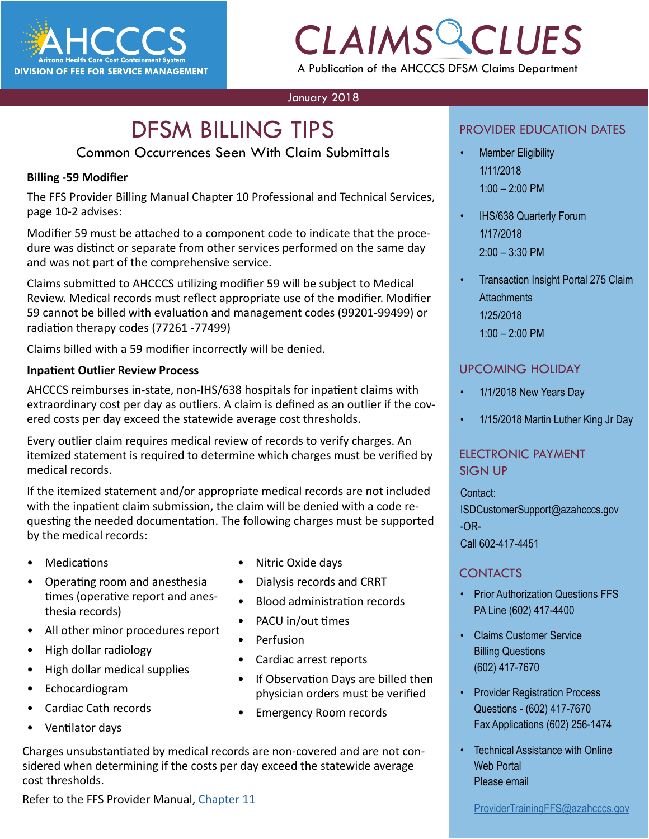

## *CLAIMS CLUES* A Publication of the AHCCCS DFSM Claims Department

#### January 2018

# **DFSM BILLING TIPS**

#### Common Occurrences Seen With Claim Submittals

#### **Billing -59 Modifier**

The FFS Provider Billing Manual Chapter 10 Professional and Technical Services, page 10-2 advises:

Modifier 59 must be attached to a component code to indicate that the procedure was distinct or separate from other services performed on the same day and was not part of the comprehensive service.

Claims submitted to AHCCCS utilizing modifier 59 will be subject to Medical Review. Medical records must reflect appropriate use of the modifier. Modifier 59 cannot be billed with evaluation and management codes (99201-99499) or radiation therapy codes (77261 -77499)

Claims billed with a 59 modifier incorrectly will be denied.

#### **Inpatient Outlier Review Process**

AHCCCS reimburses in-state, non-IHS/638 hospitals for inpatient claims with extraordinary cost per day as outliers. A claim is defined as an outlier if the covered costs per day exceed the statewide average cost thresholds.

Every outlier claim requires medical review of records to verify charges. An itemized statement is required to determine which charges must be verified by medical records.

If the itemized statement and/or appropriate medical records are not included with the inpatient claim submission, the claim will be denied with a code requesting the needed documentation. The following charges must be supported by the medical records:

- Medications
- Operating room and anesthesia times (operative report and anesthesia records)
- All other minor procedures report
- High dollar radiology
- High dollar medical supplies
- Echocardiogram
- Cardiac Cath records
- Ventilator days
- Nitric Oxide days
- Dialysis records and CRRT
- Blood administration records
- PACU in/out times
- **Perfusion**
- Cardiac arrest reports
- If Observation Days are billed then physician orders must be verified
- Emergency Room records

#### Charges unsubstantiated by medical records are non-covered and are not considered when determining if the costs per day exceed the statewide average cost thresholds.

Refer to the FFS Provider Manual, [Chapter 11](https://www.azahcccs.gov/PlansProviders/Downloads/FFSProviderManual/FFS_Chap11.pdf)

#### PROVIDER EDUCATION DATES

- **Member Eligibility** 1/11/2018 1:00 – 2:00 PM
- IHS/638 Quarterly Forum 1/17/2018 2:00 – 3:30 PM
- Transaction Insight Portal 275 Claim **Attachments** 1/25/2018 1:00 – 2:00 PM

#### UPCOMING HOLIDAY

- 1/1/2018 New Years Day
- 1/15/2018 Martin Luther King Jr Day

#### ELECTRONIC PAYMENT SIGN UP

Contact: ISDCustomerSupport@azahcccs.gov -OR-Call 602-417-4451

#### **CONTACTS**

- Prior Authorization Questions FFS PA Line (602) 417-4400
- Claims Customer Service Billing Questions (602) 417-7670
- Provider Registration Process Questions - (602) 417-7670 Fax Applications (602) 256-1474
- **Technical Assistance with Online** Web Portal Please email